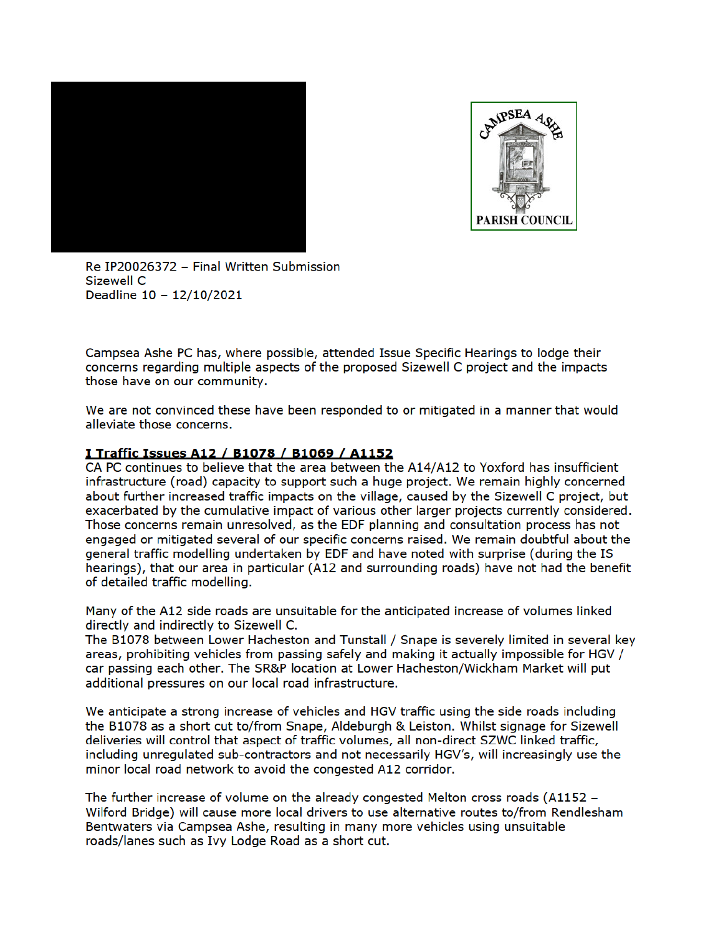



Re IP20026372 - Final Written Submission Sizewell C Deadline 10 - 12/10/2021

Campsea Ashe PC has, where possible, attended Issue Specific Hearings to lodge their concerns regarding multiple aspects of the proposed Sizewell C project and the impacts those have on our community.

We are not convinced these have been responded to or mitigated in a manner that would alleviate those concerns.

## I Traffic Issues A12 / B1078 / B1069 / A1152

CA PC continues to believe that the area between the A14/A12 to Yoxford has insufficient infrastructure (road) capacity to support such a huge project. We remain highly concerned about further increased traffic impacts on the village, caused by the Sizewell C project, but exacerbated by the cumulative impact of various other larger projects currently considered. Those concerns remain unresolved, as the EDF planning and consultation process has not engaged or mitigated several of our specific concerns raised. We remain doubtful about the general traffic modelling undertaken by EDF and have noted with surprise (during the IS hearings), that our area in particular (A12 and surrounding roads) have not had the benefit of detailed traffic modelling.

Many of the A12 side roads are unsuitable for the anticipated increase of volumes linked directly and indirectly to Sizewell C.

The B1078 between Lower Hacheston and Tunstall / Snape is severely limited in several key areas, prohibiting vehicles from passing safely and making it actually impossible for HGV / car passing each other. The SR&P location at Lower Hacheston/Wickham Market will put additional pressures on our local road infrastructure.

We anticipate a strong increase of vehicles and HGV traffic using the side roads including the B1078 as a short cut to/from Snape, Aldeburgh & Leiston. Whilst signage for Sizewell deliveries will control that aspect of traffic volumes, all non-direct SZWC linked traffic, including unregulated sub-contractors and not necessarily HGV's, will increasingly use the minor local road network to avoid the congested A12 corridor.

The further increase of volume on the already congested Melton cross roads (A1152 -Wilford Bridge) will cause more local drivers to use alternative routes to/from Rendlesham Bentwaters via Campsea Ashe, resulting in many more vehicles using unsuitable roads/lanes such as Ivy Lodge Road as a short cut.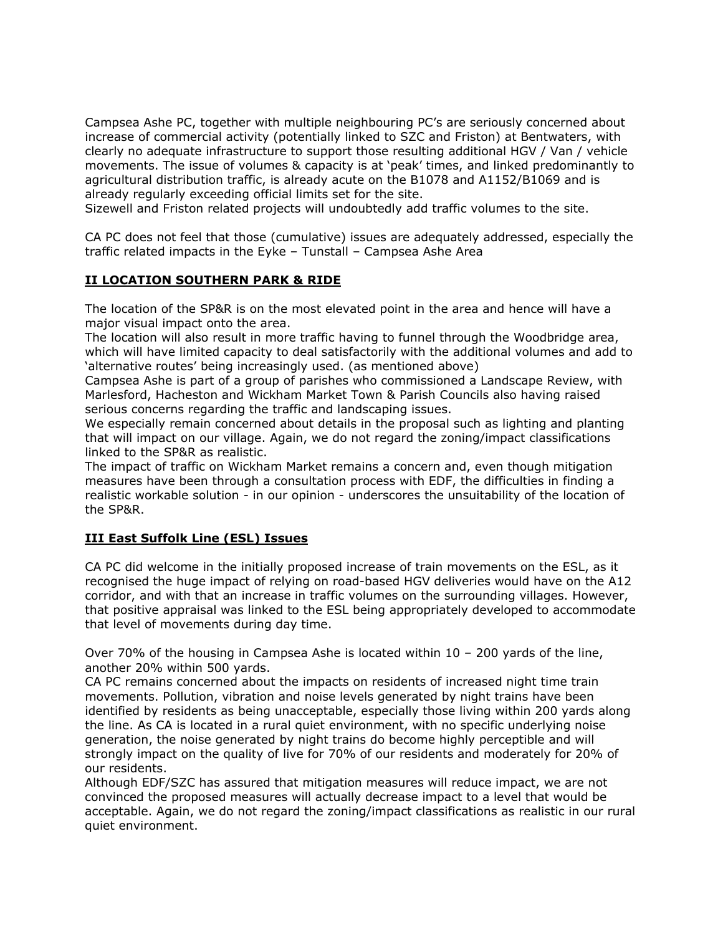Campsea Ashe PC, together with multiple neighbouring PC's are seriously concerned about increase of commercial activity (potentially linked to SZC and Friston) at Bentwaters, with clearly no adequate infrastructure to support those resulting additional HGV / Van / vehicle movements. The issue of volumes & capacity is at 'peak' times, and linked predominantly to agricultural distribution traffic, is already acute on the B1078 and A1152/B1069 and is already regularly exceeding official limits set for the site.

Sizewell and Friston related projects will undoubtedly add traffic volumes to the site.

CA PC does not feel that those (cumulative) issues are adequately addressed, especially the traffic related impacts in the Eyke – Tunstall – Campsea Ashe Area

## **II LOCATION SOUTHERN PARK & RIDE**

The location of the SP&R is on the most elevated point in the area and hence will have a major visual impact onto the area.

The location will also result in more traffic having to funnel through the Woodbridge area, which will have limited capacity to deal satisfactorily with the additional volumes and add to 'alternative routes' being increasingly used. (as mentioned above)

Campsea Ashe is part of a group of parishes who commissioned a Landscape Review, with Marlesford, Hacheston and Wickham Market Town & Parish Councils also having raised serious concerns regarding the traffic and landscaping issues.

We especially remain concerned about details in the proposal such as lighting and planting that will impact on our village. Again, we do not regard the zoning/impact classifications linked to the SP&R as realistic.

The impact of traffic on Wickham Market remains a concern and, even though mitigation measures have been through a consultation process with EDF, the difficulties in finding a realistic workable solution - in our opinion - underscores the unsuitability of the location of the SP&R.

## **III East Suffolk Line (ESL) Issues**

CA PC did welcome in the initially proposed increase of train movements on the ESL, as it recognised the huge impact of relying on road-based HGV deliveries would have on the A12 corridor, and with that an increase in traffic volumes on the surrounding villages. However, that positive appraisal was linked to the ESL being appropriately developed to accommodate that level of movements during day time.

Over 70% of the housing in Campsea Ashe is located within 10 – 200 yards of the line, another 20% within 500 yards.

CA PC remains concerned about the impacts on residents of increased night time train movements. Pollution, vibration and noise levels generated by night trains have been identified by residents as being unacceptable, especially those living within 200 yards along the line. As CA is located in a rural quiet environment, with no specific underlying noise generation, the noise generated by night trains do become highly perceptible and will strongly impact on the quality of live for 70% of our residents and moderately for 20% of our residents.

Although EDF/SZC has assured that mitigation measures will reduce impact, we are not convinced the proposed measures will actually decrease impact to a level that would be acceptable. Again, we do not regard the zoning/impact classifications as realistic in our rural quiet environment.